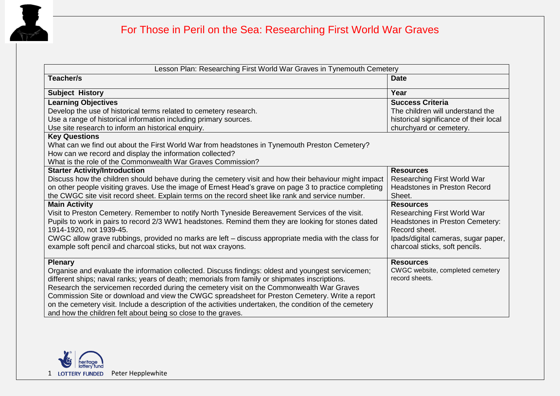

## For Those in Peril on the Sea: Researching First World War Graves

| Lesson Plan: Researching First World War Graves in Tynemouth Cemetery                                    |                                        |  |
|----------------------------------------------------------------------------------------------------------|----------------------------------------|--|
| Teacher/s                                                                                                | <b>Date</b>                            |  |
| <b>Subject History</b>                                                                                   | Year                                   |  |
| <b>Learning Objectives</b>                                                                               | <b>Success Criteria</b>                |  |
| Develop the use of historical terms related to cemetery research.                                        | The children will understand the       |  |
| Use a range of historical information including primary sources.                                         | historical significance of their local |  |
| Use site research to inform an historical enquiry.                                                       | churchyard or cemetery.                |  |
| <b>Key Questions</b>                                                                                     |                                        |  |
| What can we find out about the First World War from headstones in Tynemouth Preston Cemetery?            |                                        |  |
| How can we record and display the information collected?                                                 |                                        |  |
| What is the role of the Commonwealth War Graves Commission?                                              |                                        |  |
| <b>Starter Activity/Introduction</b>                                                                     | <b>Resources</b>                       |  |
| Discuss how the children should behave during the cemetery visit and how their behaviour might impact    | Researching First World War            |  |
| on other people visiting graves. Use the image of Ernest Head's grave on page 3 to practice completing   | <b>Headstones in Preston Record</b>    |  |
| the CWGC site visit record sheet. Explain terms on the record sheet like rank and service number.        | Sheet.                                 |  |
| <b>Main Activity</b>                                                                                     | <b>Resources</b>                       |  |
| Visit to Preston Cemetery. Remember to notify North Tyneside Bereavement Services of the visit.          | Researching First World War            |  |
| Pupils to work in pairs to record 2/3 WW1 headstones. Remind them they are looking for stones dated      | Headstones in Preston Cemetery:        |  |
| 1914-1920, not 1939-45.                                                                                  | Record sheet.                          |  |
| CWGC allow grave rubbings, provided no marks are left – discuss appropriate media with the class for     | Ipads/digital cameras, sugar paper,    |  |
| example soft pencil and charcoal sticks, but not wax crayons.                                            | charcoal sticks, soft pencils.         |  |
| <b>Plenary</b>                                                                                           | <b>Resources</b>                       |  |
| Organise and evaluate the information collected. Discuss findings: oldest and youngest servicemen;       | CWGC website, completed cemetery       |  |
| different ships; naval ranks; years of death; memorials from family or shipmates inscriptions.           | record sheets.                         |  |
| Research the servicemen recorded during the cemetery visit on the Commonwealth War Graves                |                                        |  |
| Commission Site or download and view the CWGC spreadsheet for Preston Cemetery. Write a report           |                                        |  |
| on the cemetery visit. Include a description of the activities undertaken, the condition of the cemetery |                                        |  |
| and how the children felt about being so close to the graves.                                            |                                        |  |

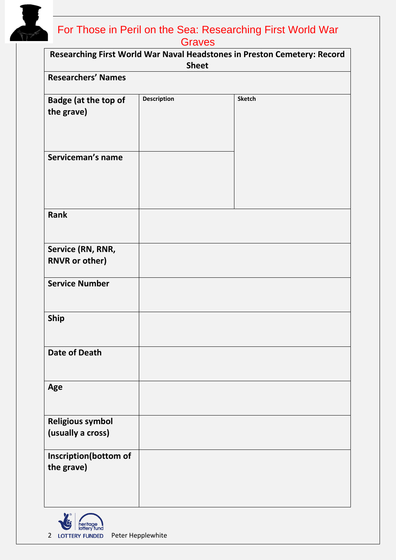

## For Those in Peril on the Sea: Researching First World War **Graves**

| Researching First World War Naval Headstones in Preston Cemetery: Record<br><b>Sheet</b> |                    |               |  |
|------------------------------------------------------------------------------------------|--------------------|---------------|--|
| <b>Researchers' Names</b>                                                                |                    |               |  |
| <b>Badge (at the top of</b><br>the grave)                                                | <b>Description</b> | <b>Sketch</b> |  |
| Serviceman's name                                                                        |                    |               |  |
| <b>Rank</b>                                                                              |                    |               |  |
| Service (RN, RNR,<br><b>RNVR or other)</b>                                               |                    |               |  |
| <b>Service Number</b>                                                                    |                    |               |  |
| <b>Ship</b>                                                                              |                    |               |  |
| <b>Date of Death</b>                                                                     |                    |               |  |
| Age                                                                                      |                    |               |  |
| <b>Religious symbol</b><br>(usually a cross)                                             |                    |               |  |
| Inscription(bottom of<br>the grave)                                                      |                    |               |  |